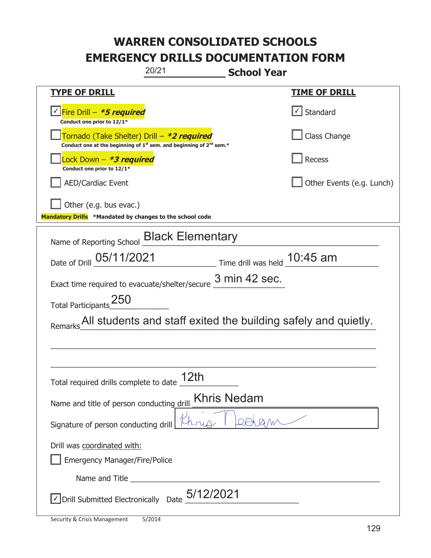| 20/21<br><b>School Year</b>                                                                                                               |                                   |  |
|-------------------------------------------------------------------------------------------------------------------------------------------|-----------------------------------|--|
| <b>TYPE OF DRILL</b>                                                                                                                      | <u>TIME OF DRILL</u>              |  |
| <u> √ Fire Drill – <b>*5 required</b></u><br>Conduct one prior to 12/1*                                                                   | $\lfloor \angle \rfloor$ Standard |  |
| Tornado (Take Shelter) Drill – *2 required<br>Conduct one at the beginning of 1 <sup>st</sup> sem. and beginning of 2 <sup>nd</sup> sem.* | Class Change                      |  |
| Lock Down – <b>*<i>3 required</i></b><br>Conduct one prior to 12/1*                                                                       | Recess                            |  |
| <b>AED/Cardiac Event</b>                                                                                                                  | Other Events (e.g. Lunch)         |  |
| Other (e.g. bus evac.)<br>Mandatory Drills *Mandated by changes to the school code                                                        |                                   |  |
| Name of Reporting School <b>Black Elementary</b>                                                                                          |                                   |  |
| Time drill was held 10:45 am<br>Date of Drill 05/11/2021                                                                                  |                                   |  |
| Exact time required to evacuate/shelter/secure $\frac{3 \text{ min } 42 \text{ sec}}$ .                                                   |                                   |  |
| Total Participants <sup>250</sup>                                                                                                         |                                   |  |
| Remarks All students and staff exited the building safely and quietly.                                                                    |                                   |  |
|                                                                                                                                           |                                   |  |
|                                                                                                                                           |                                   |  |
| Total required drills complete to date 12th                                                                                               |                                   |  |
| <b>Khris Nedam</b><br>Name and title of person conducting drill                                                                           |                                   |  |
| Signature of person conducting drill                                                                                                      |                                   |  |
| Drill was coordinated with:                                                                                                               |                                   |  |
| Emergency Manager/Fire/Police                                                                                                             |                                   |  |
|                                                                                                                                           |                                   |  |
| $\triangledown$ Drill Submitted Electronically Date $\frac{5/12/2021}{2}$                                                                 |                                   |  |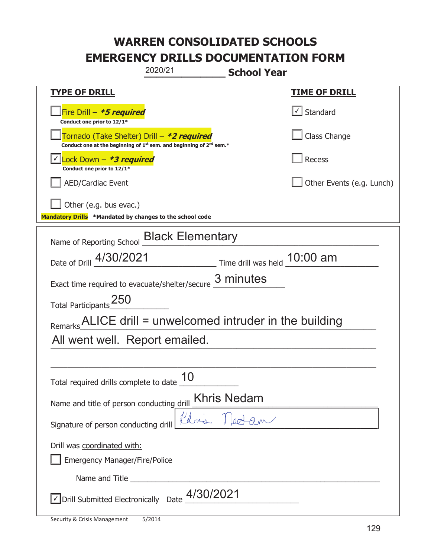| 2020/21<br><b>School Year</b>                                                                                                             |                                   |  |
|-------------------------------------------------------------------------------------------------------------------------------------------|-----------------------------------|--|
| <b>TYPE OF DRILL</b>                                                                                                                      | <u>TIME OF DRILL</u>              |  |
| Fire Drill $-$ <b>*5 required</b><br>Conduct one prior to 12/1*                                                                           | $\lfloor \angle \rfloor$ Standard |  |
| Tornado (Take Shelter) Drill – *2 required<br>Conduct one at the beginning of 1 <sup>st</sup> sem. and beginning of 2 <sup>nd</sup> sem.* | Class Change                      |  |
| Lock Down $-$ <b>*3 required</b><br>Conduct one prior to 12/1*                                                                            | Recess                            |  |
| <b>AED/Cardiac Event</b>                                                                                                                  | Other Events (e.g. Lunch)         |  |
| Other (e.g. bus evac.)<br>Mandatory Drills *Mandated by changes to the school code                                                        |                                   |  |
| Name of Reporting School _Black Elementary                                                                                                |                                   |  |
| Time drill was held 10:00 am<br>Date of Drill 4/30/2021                                                                                   |                                   |  |
| Exact time required to evacuate/shelter/secure $\underline{3}$ minutes                                                                    |                                   |  |
| Total Participants <sup>250</sup>                                                                                                         |                                   |  |
| Remarks ALICE drill = unwelcomed intruder in the building                                                                                 |                                   |  |
| All went well. Report emailed.                                                                                                            |                                   |  |
|                                                                                                                                           |                                   |  |
| Total required drills complete to date $\frac{10}{10}$                                                                                    |                                   |  |
| <b>Khris Nedam</b><br>Name and title of person conducting drill                                                                           |                                   |  |
| Phris Nedam<br>Signature of person conducting drill                                                                                       |                                   |  |
| Drill was coordinated with:                                                                                                               |                                   |  |
| Emergency Manager/Fire/Police                                                                                                             |                                   |  |
|                                                                                                                                           |                                   |  |
| $\sqrt{\frac{1}{2}}$ Drill Submitted Electronically Date $\frac{4/30}{2021}$                                                              |                                   |  |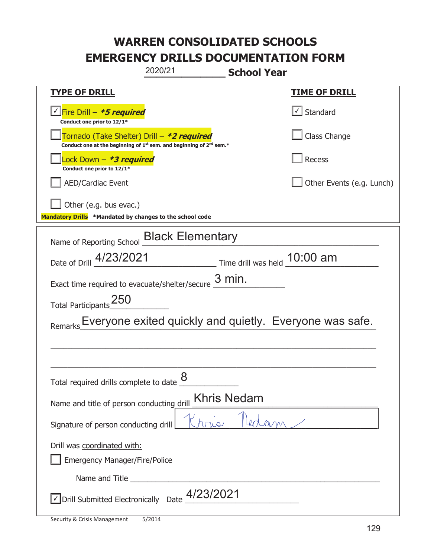| 2020/21<br><b>School Year</b>                                                                                               |                                                                               |  |
|-----------------------------------------------------------------------------------------------------------------------------|-------------------------------------------------------------------------------|--|
| <b>TYPE OF DRILL</b>                                                                                                        | <u>TIME OF DRILL</u>                                                          |  |
| <u> √ Fire Drill – <i>*5 required</i></u><br>Conduct one prior to 12/1*                                                     | $\cup$ Standard                                                               |  |
| Tornado (Take Shelter) Drill - *2 required<br>Conduct one at the beginning of $1^{st}$ sem. and beginning of $2^{nd}$ sem.* | Class Change                                                                  |  |
| Lock Down – <b>*<i>3 required</i></b><br>Conduct one prior to 12/1*                                                         | Recess                                                                        |  |
| <b>AED/Cardiac Event</b>                                                                                                    | Other Events (e.g. Lunch)                                                     |  |
| Other (e.g. bus evac.)<br>Mandatory Drills *Mandated by changes to the school code                                          |                                                                               |  |
| Name of Reporting School _ Black Elementary                                                                                 |                                                                               |  |
| Date of Drill 4/23/2021                                                                                                     | $\frac{10:00 \text{ am}}{2}$ Time drill was held $\frac{10:00 \text{ am}}{2}$ |  |
| Exact time required to evacuate/shelter/secure $\underline{3}$ min.                                                         |                                                                               |  |
| Total Participants <sup>250</sup>                                                                                           |                                                                               |  |
|                                                                                                                             | Everyone exited quickly and quietly. Everyone was safe.                       |  |
|                                                                                                                             |                                                                               |  |
|                                                                                                                             |                                                                               |  |
| 8<br>Total required drills complete to date                                                                                 |                                                                               |  |
| <b>Khris Nedam</b><br>Name and title of person conducting drill                                                             |                                                                               |  |
| Signature of person conducting drill                                                                                        |                                                                               |  |
| Drill was coordinated with:<br>Emergency Manager/Fire/Police                                                                |                                                                               |  |
|                                                                                                                             |                                                                               |  |
| $\sqrt{}$ Drill Submitted Electronically Date $\frac{4/23/2021}{2}$                                                         |                                                                               |  |

T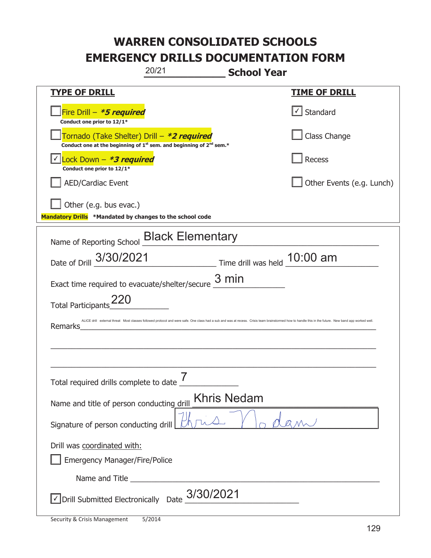|                                                                                           | 20/21                                                                         | <b>School Year</b>           |                                                                                                                                                                                                      |
|-------------------------------------------------------------------------------------------|-------------------------------------------------------------------------------|------------------------------|------------------------------------------------------------------------------------------------------------------------------------------------------------------------------------------------------|
| <b>TYPE OF DRILL</b>                                                                      |                                                                               |                              | <b>TIME OF DRILL</b>                                                                                                                                                                                 |
| Fire Drill - *5 required<br>Conduct one prior to 12/1*                                    |                                                                               |                              | √ Standard                                                                                                                                                                                           |
| Tornado (Take Shelter) Drill – *2 required                                                | Conduct one at the beginning of $1^{st}$ sem. and beginning of $2^{nd}$ sem.* |                              | Class Change                                                                                                                                                                                         |
| Lock Down $-$ *3 required<br>Conduct one prior to 12/1*                                   |                                                                               |                              | <b>Recess</b>                                                                                                                                                                                        |
| <b>AED/Cardiac Event</b>                                                                  |                                                                               |                              | Other Events (e.g. Lunch)                                                                                                                                                                            |
| $\Box$ Other (e.g. bus evac.)<br>Mandatory Drills *Mandated by changes to the school code |                                                                               |                              |                                                                                                                                                                                                      |
| Name of Reporting School <b>Black Elementary</b>                                          |                                                                               |                              |                                                                                                                                                                                                      |
| Date of Drill 3/30/2021                                                                   |                                                                               | Time drill was held 10:00 am |                                                                                                                                                                                                      |
| Exact time required to evacuate/shelter/secure $\frac{3 \text{ min}}{2}$                  |                                                                               |                              |                                                                                                                                                                                                      |
| <b>Total Participants</b>                                                                 |                                                                               |                              |                                                                                                                                                                                                      |
| Remarks                                                                                   |                                                                               |                              | ALICE drill external threat Most classes followed protocol and were safe. One class had a sub and was at recess. Crisis team brainstormed how to handle this in the future. New band app worked well |
|                                                                                           |                                                                               |                              |                                                                                                                                                                                                      |
|                                                                                           |                                                                               |                              |                                                                                                                                                                                                      |
| Total required drills complete to date _                                                  |                                                                               |                              |                                                                                                                                                                                                      |
| <b>Khris Nedam</b><br>Name and title of person conducting drill                           |                                                                               |                              |                                                                                                                                                                                                      |
| Signature of person conducting drill                                                      |                                                                               |                              |                                                                                                                                                                                                      |
| Drill was coordinated with:                                                               |                                                                               |                              |                                                                                                                                                                                                      |
| <b>Emergency Manager/Fire/Police</b>                                                      |                                                                               |                              |                                                                                                                                                                                                      |
|                                                                                           | 3/30/2021                                                                     |                              |                                                                                                                                                                                                      |
| √ Drill Submitted Electronically Date                                                     |                                                                               |                              |                                                                                                                                                                                                      |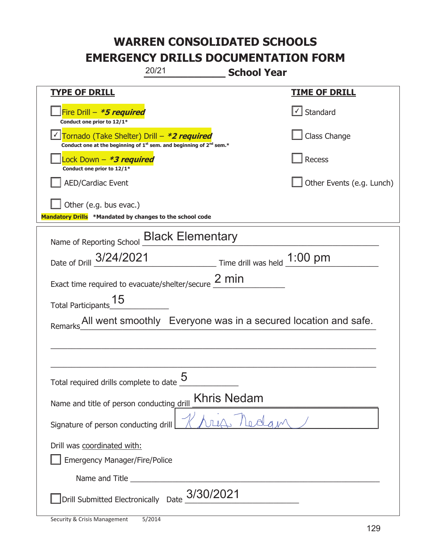| 20/21<br><b>School Year</b>                                                                                                 |                                                                |  |
|-----------------------------------------------------------------------------------------------------------------------------|----------------------------------------------------------------|--|
| <b>TYPE OF DRILL</b>                                                                                                        | <u>TIME OF DRILL</u>                                           |  |
| Fire Drill - *5 required<br>Conduct one prior to 12/1*                                                                      | $\lfloor$ Standard                                             |  |
| Tornado (Take Shelter) Drill - *2 required<br>Conduct one at the beginning of $1^{st}$ sem. and beginning of $2^{nd}$ sem.* | Class Change                                                   |  |
| Lock Down - <b>*3 required</b><br>Conduct one prior to 12/1*                                                                | Recess                                                         |  |
| <b>AED/Cardiac Event</b>                                                                                                    | Other Events (e.g. Lunch)                                      |  |
| Other (e.g. bus evac.)<br>Mandatory Drills *Mandated by changes to the school code                                          |                                                                |  |
| Name of Reporting School <b>Black Elementary</b>                                                                            |                                                                |  |
| Date of Drill 3/24/2021 Time drill was held 1:00 pm                                                                         |                                                                |  |
| Exact time required to evacuate/shelter/secure $2 \text{ min}$                                                              |                                                                |  |
| Total Participants_15                                                                                                       |                                                                |  |
| Remarks                                                                                                                     | All went smoothly Everyone was in a secured location and safe. |  |
|                                                                                                                             |                                                                |  |
|                                                                                                                             |                                                                |  |
| <u> Қ</u><br>Total required drills complete to date                                                                         |                                                                |  |
| Khris Nedam<br>Name and title of person conducting drill                                                                    |                                                                |  |
| Signature of person conducting drill                                                                                        |                                                                |  |
| Drill was coordinated with:<br><b>Emergency Manager/Fire/Police</b>                                                         |                                                                |  |
|                                                                                                                             |                                                                |  |
| Drill Submitted Electronically Date $\frac{3/30/2021}{2}$                                                                   |                                                                |  |

t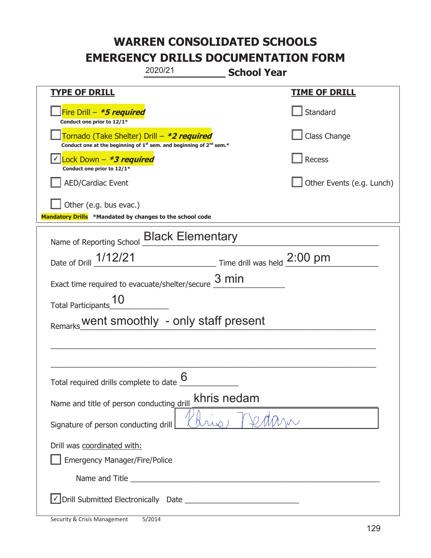| 2020/21<br><b>School Year</b>                                                                                               |                                                                            |  |
|-----------------------------------------------------------------------------------------------------------------------------|----------------------------------------------------------------------------|--|
| <b>TYPE OF DRILL</b>                                                                                                        | <u>TIME OF DRILL</u>                                                       |  |
| Fire Drill – <i>*<b>5 required</b></i><br>Conduct one prior to 12/1*                                                        | Standard                                                                   |  |
| Tornado (Take Shelter) Drill – *2 required<br>Conduct one at the beginning of $1^{st}$ sem. and beginning of $2^{nd}$ sem.* | Class Change                                                               |  |
| Lock Down - *3 required<br>Conduct one prior to 12/1*                                                                       | Recess                                                                     |  |
| <b>AED/Cardiac Event</b>                                                                                                    | Other Events (e.g. Lunch)                                                  |  |
| Other (e.g. bus evac.)<br>Mandatory Drills *Mandated by changes to the school code                                          |                                                                            |  |
| Name of Reporting School <b>Black Elementary</b>                                                                            |                                                                            |  |
| Date of Drill 1/12/21                                                                                                       | $\frac{1}{2:00 \text{ pm}}$ Time drill was held $\frac{2:00 \text{ pm}}{}$ |  |
| Exact time required to evacuate/shelter/secure $\frac{3 \text{ min}}{2}$                                                    |                                                                            |  |
| <b>Total Participants</b>                                                                                                   |                                                                            |  |
| Remarks_went smoothly - only staff present                                                                                  |                                                                            |  |
|                                                                                                                             |                                                                            |  |
|                                                                                                                             |                                                                            |  |
| Total required drills complete to date $6$                                                                                  |                                                                            |  |
| khris nedam<br>Name and title of person conducting drill                                                                    |                                                                            |  |
| Signature of person conducting drill                                                                                        |                                                                            |  |
| Drill was coordinated with:                                                                                                 |                                                                            |  |
| <b>Emergency Manager/Fire/Police</b>                                                                                        |                                                                            |  |
|                                                                                                                             |                                                                            |  |
|                                                                                                                             |                                                                            |  |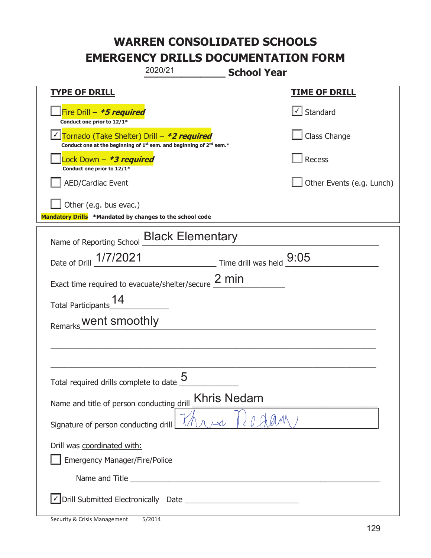| 2020/21<br><b>School Year</b>                                                                                                             |                           |  |
|-------------------------------------------------------------------------------------------------------------------------------------------|---------------------------|--|
| <b>TYPE OF DRILL</b>                                                                                                                      | <b>TIME OF DRILL</b>      |  |
| Fire Drill - *5 required<br>Conduct one prior to 12/1*                                                                                    | √ Standard                |  |
| Tornado (Take Shelter) Drill - *2 required<br>Conduct one at the beginning of 1 <sup>st</sup> sem. and beginning of 2 <sup>nd</sup> sem.* | Class Change              |  |
| Lock Down - <b>*3 required</b><br>Conduct one prior to 12/1*                                                                              | Recess                    |  |
| <b>AED/Cardiac Event</b>                                                                                                                  | Other Events (e.g. Lunch) |  |
| Other (e.g. bus evac.)<br>Mandatory Drills *Mandated by changes to the school code                                                        |                           |  |
| Name of Reporting School <b>Black Elementary</b>                                                                                          |                           |  |
| Date of Drill 1/7/2021<br>$\frac{9:05}{2}$ Time drill was held $\frac{9:05}{2}$                                                           |                           |  |
| Exact time required to evacuate/shelter/secure $2 \text{ min}$                                                                            |                           |  |
| Total Participants_14                                                                                                                     |                           |  |
| Remarks_Went smoothly                                                                                                                     |                           |  |
|                                                                                                                                           |                           |  |
|                                                                                                                                           |                           |  |
| Total required drills complete to date $\frac{5}{5}$                                                                                      |                           |  |
| <b>Khris Nedam</b><br>Name and title of person conducting drill                                                                           |                           |  |
| Signature of person conducting drill                                                                                                      |                           |  |
| Drill was coordinated with:<br><b>Emergency Manager/Fire/Police</b>                                                                       |                           |  |
|                                                                                                                                           |                           |  |
|                                                                                                                                           |                           |  |

t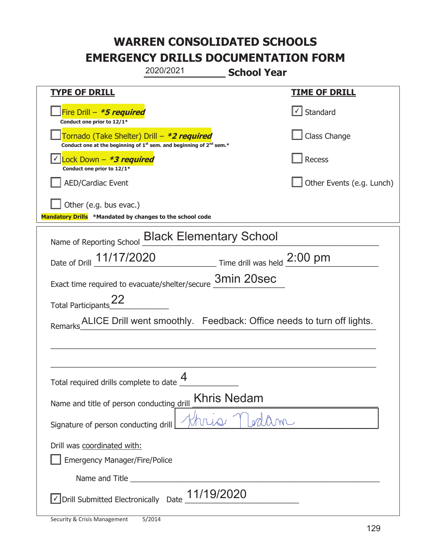|                                                                                    | 2020/2021                                                               | <b>School Year</b>                     |                                                                       |
|------------------------------------------------------------------------------------|-------------------------------------------------------------------------|----------------------------------------|-----------------------------------------------------------------------|
| <u>TYPE OF DRILL</u>                                                               |                                                                         |                                        | <b>TIME OF DRILL</b>                                                  |
| Fire Drill - *5 required<br>Conduct one prior to 12/1*                             |                                                                         |                                        | $\sqrt{\phantom{a}}$ Standard                                         |
| Tornado (Take Shelter) Drill – *2 required                                         | Conduct one at the beginning of $1st$ sem. and beginning of $2nd$ sem.* |                                        | Class Change                                                          |
| Lock Down - *3 required<br>Conduct one prior to 12/1*                              |                                                                         |                                        | Recess                                                                |
| <b>AED/Cardiac Event</b>                                                           |                                                                         |                                        | Other Events (e.g. Lunch)                                             |
| Other (e.g. bus evac.)<br>Mandatory Drills *Mandated by changes to the school code |                                                                         |                                        |                                                                       |
| Name of Reporting School Black Elementary School                                   |                                                                         |                                        |                                                                       |
| Date of Drill 11/17/2020                                                           |                                                                         | $\equiv$ Time drill was held $2:00$ pm |                                                                       |
| Exact time required to evacuate/shelter/secure 3min 20sec                          |                                                                         |                                        |                                                                       |
| Total Participants <sup>22</sup>                                                   |                                                                         |                                        |                                                                       |
| Remarks                                                                            |                                                                         |                                        | ALICE Drill went smoothly. Feedback: Office needs to turn off lights. |
|                                                                                    |                                                                         |                                        |                                                                       |
|                                                                                    |                                                                         |                                        |                                                                       |
| Total required drills complete to date $\frac{4}{1}$                               |                                                                         |                                        |                                                                       |
| Name and title of person conducting drill                                          |                                                                         | Khris Nedam                            |                                                                       |
| Signature of person conducting drill                                               |                                                                         |                                        |                                                                       |
| Drill was coordinated with:<br><b>Emergency Manager/Fire/Police</b>                |                                                                         |                                        |                                                                       |
|                                                                                    |                                                                         |                                        |                                                                       |
| √ Drill Submitted Electronically Date                                              | 11/19/2020                                                              |                                        |                                                                       |

t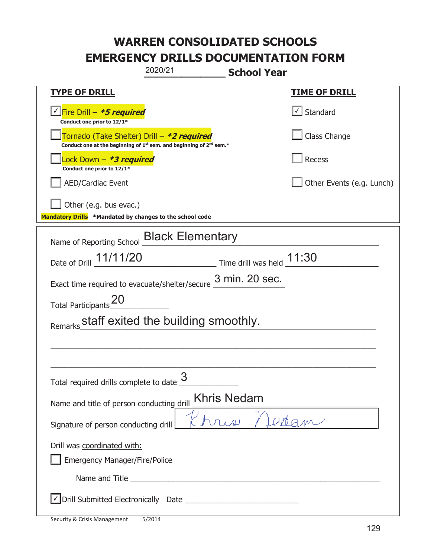| 2020/21<br><b>School Year</b>                                                                                                             |                                                         |  |
|-------------------------------------------------------------------------------------------------------------------------------------------|---------------------------------------------------------|--|
| <b>TYPE OF DRILL</b>                                                                                                                      | <u>TIME OF DRILL</u>                                    |  |
| <u> √ Fire Drill – <b>*5 required</b></u><br>Conduct one prior to 12/1*                                                                   | $\cup$ Standard                                         |  |
| Tornado (Take Shelter) Drill – *2 required<br>Conduct one at the beginning of 1 <sup>st</sup> sem. and beginning of 2 <sup>nd</sup> sem.* | Class Change                                            |  |
| Lock Down - *3 required<br>Conduct one prior to 12/1*                                                                                     | Recess                                                  |  |
| <b>AED/Cardiac Event</b>                                                                                                                  | Other Events (e.g. Lunch)                               |  |
| Other (e.g. bus evac.)<br>Mandatory Drills *Mandated by changes to the school code                                                        |                                                         |  |
| Name of Reporting School <b>Black Elementary</b>                                                                                          |                                                         |  |
| Date of Drill 11/11/20                                                                                                                    | $\frac{11:30}{2}$ Time drill was held $\frac{11:30}{2}$ |  |
| Exact time required to evacuate/shelter/secure $\frac{3 \text{ min. 20 sec.}}{}$                                                          |                                                         |  |
| Total Participants_20                                                                                                                     |                                                         |  |
| Remarks staff exited the building smoothly.                                                                                               |                                                         |  |
|                                                                                                                                           |                                                         |  |
|                                                                                                                                           |                                                         |  |
| Total required drills complete to date $\frac{3}{4}$                                                                                      |                                                         |  |
| <b>Khris Nedam</b><br>Name and title of person conducting drill                                                                           |                                                         |  |
| Signature of person conducting drill                                                                                                      |                                                         |  |
| Drill was coordinated with:                                                                                                               |                                                         |  |
| Emergency Manager/Fire/Police                                                                                                             |                                                         |  |
|                                                                                                                                           |                                                         |  |
|                                                                                                                                           |                                                         |  |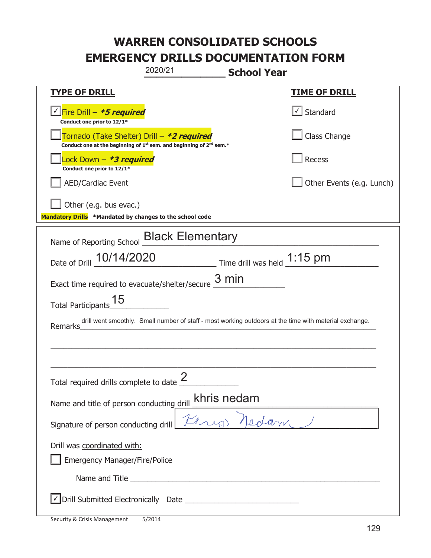| 2020/21<br><b>School Year</b>                                                                                                             |                                   |  |
|-------------------------------------------------------------------------------------------------------------------------------------------|-----------------------------------|--|
| <b>TYPE OF DRILL</b>                                                                                                                      | <b>TIME OF DRILL</b>              |  |
| <u>√ Fire Drill – <i>*5 required</i></u><br>Conduct one prior to 12/1*                                                                    | $\lfloor \angle \rfloor$ Standard |  |
| Tornado (Take Shelter) Drill - *2 required<br>Conduct one at the beginning of 1 <sup>st</sup> sem. and beginning of 2 <sup>nd</sup> sem.* | Class Change                      |  |
| Lock Down – <b><i>*3 required</i></b><br>Conduct one prior to 12/1*                                                                       | Recess                            |  |
| <b>AED/Cardiac Event</b>                                                                                                                  | Other Events (e.g. Lunch)         |  |
| Other (e.g. bus evac.)<br>Mandatory Drills *Mandated by changes to the school code                                                        |                                   |  |
| Name of Reporting School <b>Black Elementary</b>                                                                                          |                                   |  |
| Time drill was held 1:15 pm<br>Date of Drill 10/14/2020                                                                                   |                                   |  |
| Exact time required to evacuate/shelter/secure $\frac{3 \text{ min}}{2}$                                                                  |                                   |  |
| Total Participants <sup>15</sup>                                                                                                          |                                   |  |
| drill went smoothly. Small number of staff - most working outdoors at the time with material exchange.<br>Remarks                         |                                   |  |
|                                                                                                                                           |                                   |  |
|                                                                                                                                           |                                   |  |
| Total required drills complete to date $\frac{2}{3}$                                                                                      |                                   |  |
| khris nedam<br>Name and title of person conducting drill                                                                                  |                                   |  |
| Signature of person conducting drill                                                                                                      |                                   |  |
| Drill was coordinated with:                                                                                                               |                                   |  |
| <b>Emergency Manager/Fire/Police</b>                                                                                                      |                                   |  |
|                                                                                                                                           |                                   |  |
|                                                                                                                                           |                                   |  |